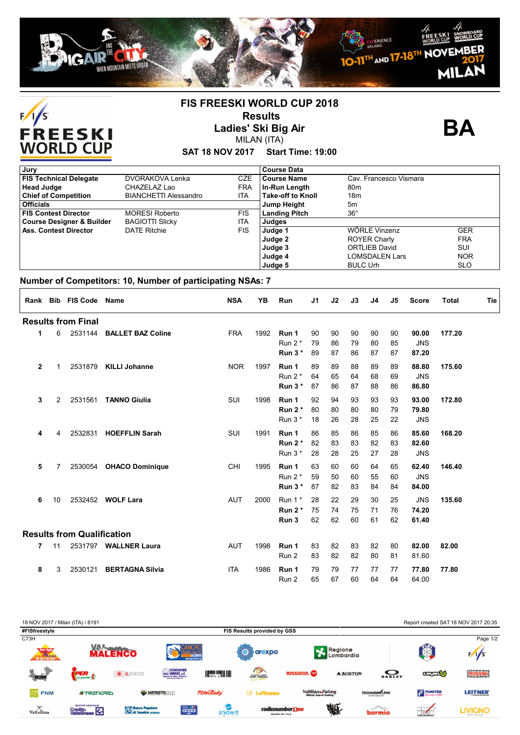



## **FIS FREESKI WORLD CUP 2018 Results Ladies' Ski Big Air**

**BA**

### **SAT 18 NOV 2017 Start Time: 19:00** MILAN (ITA)

| Jury                                 |                              |            | <b>Course Data</b>       |                        |            |
|--------------------------------------|------------------------------|------------|--------------------------|------------------------|------------|
| <b>FIS Technical Delegate</b>        | DVORAKOVA Lenka              | <b>CZE</b> | <b>Course Name</b>       | Cav. Francesco Vismara |            |
| <b>Head Judge</b>                    | CHAZELAZ Lao                 | <b>FRA</b> | In-Run Length            | 80 <sub>m</sub>        |            |
| <b>Chief of Competition</b>          | <b>BIANCHETTI Alessandro</b> | ITA        | <b>Take-off to Knoll</b> | 18m                    |            |
| <b>Officials</b>                     |                              |            | <b>Jump Height</b>       | 5m                     |            |
| <b>FIS Contest Director</b>          | <b>MORESI Roberto</b>        | <b>FIS</b> | <b>Landing Pitch</b>     | $36^{\circ}$           |            |
| <b>Course Designer &amp; Builder</b> | <b>BAGIOTTI Slicky</b>       | <b>ITA</b> | Judges                   |                        |            |
| <b>Ass. Contest Director</b>         | <b>DATE Ritchie</b>          | <b>FIS</b> | Judge 1                  | WÖRLE Vinzenz          | <b>GER</b> |
|                                      |                              |            | Judge 2                  | <b>ROYER Charly</b>    | <b>FRA</b> |
|                                      |                              |            | Judge 3                  | <b>ORTLIEB David</b>   | SUI        |
|                                      |                              |            | Judge 4                  | LOMSDALEN Lars         | <b>NOR</b> |
|                                      |                              |            | Judge 5                  | <b>BULC Urh</b>        | <b>SLO</b> |

#### **Number of Competitors: 10, Number of participating NSAs: 7**

|              |    | Rank Bib FIS Code Name            |                          | <b>NSA</b> | YB   | Run                             | J1             | J2             | J3             | J4             | J5             | <b>Score</b>                 | <b>Total</b> | Tie |
|--------------|----|-----------------------------------|--------------------------|------------|------|---------------------------------|----------------|----------------|----------------|----------------|----------------|------------------------------|--------------|-----|
|              |    | <b>Results from Final</b>         |                          |            |      |                                 |                |                |                |                |                |                              |              |     |
| 1            | 6  | 2531144                           | <b>BALLET BAZ Coline</b> | <b>FRA</b> | 1992 | Run 1<br>Run $2^*$<br>Run $3*$  | 90<br>79<br>89 | 90<br>86<br>87 | 90<br>79<br>86 | 90<br>80<br>87 | 90<br>85<br>87 | 90.00<br><b>JNS</b><br>87.20 | 177.20       |     |
| $\mathbf{2}$ | 1  | 2531879                           | <b>KILLI Johanne</b>     | <b>NOR</b> | 1997 | Run 1<br>Run $2^*$<br>Run $3*$  | 89<br>64<br>87 | 89<br>65<br>86 | 88<br>64<br>87 | 89<br>68<br>88 | 89<br>69<br>86 | 88.80<br><b>JNS</b><br>86.80 | 175.60       |     |
| 3            | 2  | 2531561                           | <b>TANNO Giulia</b>      | SUI        | 1998 | Run 1<br>Run $2^*$<br>Run $3*$  | 92<br>80<br>18 | 94<br>80<br>26 | 93<br>80<br>28 | 93<br>80<br>25 | 93<br>79<br>22 | 93.00<br>79.80<br><b>JNS</b> | 172.80       |     |
| 4            | 4  | 2532831                           | <b>HOEFFLIN Sarah</b>    | SUI        | 1991 | Run 1<br>Run $2^*$<br>Run $3*$  | 86<br>82<br>28 | 85<br>83<br>28 | 86<br>83<br>25 | 85<br>82<br>27 | 86<br>83<br>28 | 85.60<br>82.60<br><b>JNS</b> | 168.20       |     |
| 5            | 7  | 2530054                           | <b>OHACO Dominique</b>   | CHI        | 1995 | Run 1<br>Run $2^*$<br>Run $3*$  | 63<br>59<br>87 | 60<br>50<br>82 | 60<br>60<br>83 | 64<br>55<br>84 | 65<br>60<br>84 | 62.40<br><b>JNS</b><br>84.00 | 146.40       |     |
| 6            | 10 | 2532452                           | <b>WOLF Lara</b>         | <b>AUT</b> | 2000 | Run $1^*$<br>Run $2^*$<br>Run 3 | 28<br>75<br>62 | 22<br>74<br>62 | 29<br>75<br>60 | 30<br>71<br>61 | 25<br>76<br>62 | <b>JNS</b><br>74.20<br>61.40 | 135.60       |     |
|              |    | <b>Results from Qualification</b> |                          |            |      |                                 |                |                |                |                |                |                              |              |     |
| 7            | 11 |                                   | 2531797 WALLNER Laura    | <b>AUT</b> | 1998 | Run 1<br>Run 2                  | 83<br>83       | 82<br>82       | 83<br>82       | 82<br>80       | 80<br>81       | 82.00<br>81.60               | 82.00        |     |
| 8            | 3  | 2530121                           | <b>BERTAGNA Silvia</b>   | <b>ITA</b> | 1986 | Run 1<br>Run 2                  | 79<br>65       | 79<br>67       | 77<br>60       | 77<br>64       | 77<br>64       | 77.80<br>64.00               | 77.80        |     |